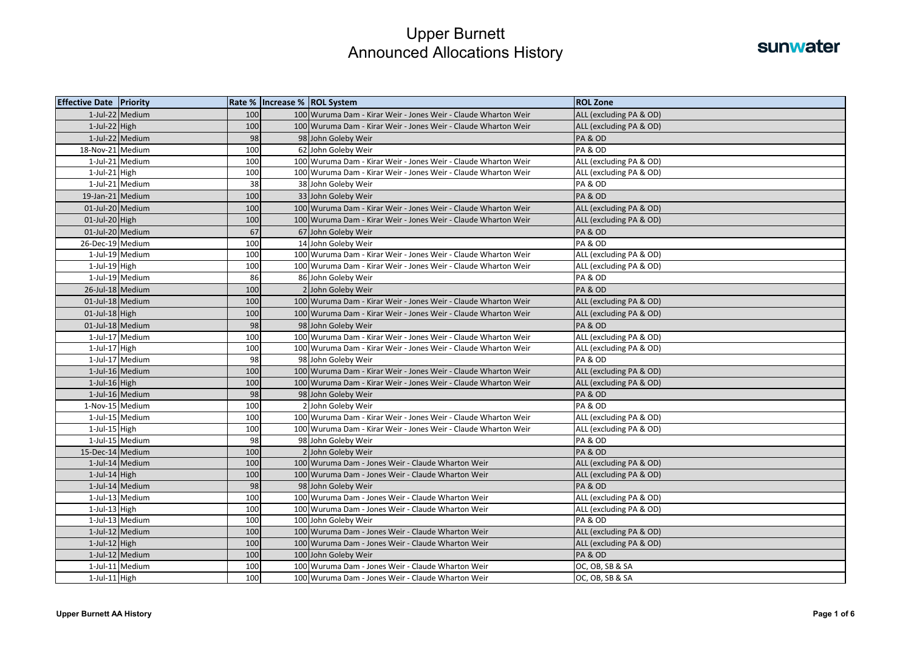| <b>Effective Date Priority</b> |                 |     | Rate % Increase % ROL System                                   | <b>ROL Zone</b>         |
|--------------------------------|-----------------|-----|----------------------------------------------------------------|-------------------------|
|                                | 1-Jul-22 Medium | 100 | 100 Wuruma Dam - Kirar Weir - Jones Weir - Claude Wharton Weir | ALL (excluding PA & OD) |
| 1-Jul-22 High                  |                 | 100 | 100 Wuruma Dam - Kirar Weir - Jones Weir - Claude Wharton Weir | ALL (excluding PA & OD) |
|                                | 1-Jul-22 Medium | 98  | 98 John Goleby Weir                                            | PA&OD                   |
| 18-Nov-21 Medium               |                 | 100 | 62 John Goleby Weir                                            | PA&OD                   |
|                                | 1-Jul-21 Medium | 100 | 100 Wuruma Dam - Kirar Weir - Jones Weir - Claude Wharton Weir | ALL (excluding PA & OD) |
| $1$ -Jul-21 High               |                 | 100 | 100 Wuruma Dam - Kirar Weir - Jones Weir - Claude Wharton Weir | ALL (excluding PA & OD) |
|                                | 1-Jul-21 Medium | 38  | 38 John Goleby Weir                                            | PA&OD                   |
| 19-Jan-21 Medium               |                 | 100 | 33 John Goleby Weir                                            | PA&OD                   |
| 01-Jul-20 Medium               |                 | 100 | 100 Wuruma Dam - Kirar Weir - Jones Weir - Claude Wharton Weir | ALL (excluding PA & OD) |
| $01$ -Jul-20 High              |                 | 100 | 100 Wuruma Dam - Kirar Weir - Jones Weir - Claude Wharton Weir | ALL (excluding PA & OD) |
| 01-Jul-20 Medium               |                 | 67  | 67 John Goleby Weir                                            | PA&OD                   |
| 26-Dec-19 Medium               |                 | 100 | 14 John Goleby Weir                                            | PA&OD                   |
|                                | 1-Jul-19 Medium | 100 | 100 Wuruma Dam - Kirar Weir - Jones Weir - Claude Wharton Weir | ALL (excluding PA & OD) |
| 1-Jul-19 High                  |                 | 100 | 100 Wuruma Dam - Kirar Weir - Jones Weir - Claude Wharton Weir | ALL (excluding PA & OD) |
|                                | 1-Jul-19 Medium | 86  | 86 John Goleby Weir                                            | PA&OD                   |
| 26-Jul-18 Medium               |                 | 100 | 2 John Goleby Weir                                             | PA&OD                   |
| 01-Jul-18 Medium               |                 | 100 | 100 Wuruma Dam - Kirar Weir - Jones Weir - Claude Wharton Weir | ALL (excluding PA & OD) |
| $01$ -Jul-18 High              |                 | 100 | 100 Wuruma Dam - Kirar Weir - Jones Weir - Claude Wharton Weir | ALL (excluding PA & OD) |
| 01-Jul-18 Medium               |                 | 98  | 98 John Goleby Weir                                            | PA&OD                   |
|                                | 1-Jul-17 Medium | 100 | 100 Wuruma Dam - Kirar Weir - Jones Weir - Claude Wharton Weir | ALL (excluding PA & OD) |
| 1-Jul-17 High                  |                 | 100 | 100 Wuruma Dam - Kirar Weir - Jones Weir - Claude Wharton Weir | ALL (excluding PA & OD) |
|                                | 1-Jul-17 Medium | 98  | 98 John Goleby Weir                                            | PA&OD                   |
|                                | 1-Jul-16 Medium | 100 | 100 Wuruma Dam - Kirar Weir - Jones Weir - Claude Wharton Weir | ALL (excluding PA & OD) |
| 1-Jul-16 High                  |                 | 100 | 100 Wuruma Dam - Kirar Weir - Jones Weir - Claude Wharton Weir | ALL (excluding PA & OD) |
|                                | 1-Jul-16 Medium | 98  | 98 John Goleby Weir                                            | PA&OD                   |
| 1-Nov-15 Medium                |                 | 100 | 2 John Goleby Weir                                             | PA&OD                   |
|                                | 1-Jul-15 Medium | 100 | 100 Wuruma Dam - Kirar Weir - Jones Weir - Claude Wharton Weir | ALL (excluding PA & OD) |
| $1$ -Jul-15 High               |                 | 100 | 100 Wuruma Dam - Kirar Weir - Jones Weir - Claude Wharton Weir | ALL (excluding PA & OD) |
|                                | 1-Jul-15 Medium | 98  | 98 John Goleby Weir                                            | PA&OD                   |
| 15-Dec-14 Medium               |                 | 100 | 2 John Goleby Weir                                             | PA&OD                   |
|                                | 1-Jul-14 Medium | 100 | 100 Wuruma Dam - Jones Weir - Claude Wharton Weir              | ALL (excluding PA & OD) |
| $1$ -Jul-14 High               |                 | 100 | 100 Wuruma Dam - Jones Weir - Claude Wharton Weir              | ALL (excluding PA & OD) |
|                                | 1-Jul-14 Medium | 98  | 98 John Goleby Weir                                            | PA&OD                   |
|                                | 1-Jul-13 Medium | 100 | 100 Wuruma Dam - Jones Weir - Claude Wharton Weir              | ALL (excluding PA & OD) |
| $1$ -Jul-13 High               |                 | 100 | 100 Wuruma Dam - Jones Weir - Claude Wharton Weir              | ALL (excluding PA & OD) |
|                                | 1-Jul-13 Medium | 100 | 100 John Goleby Weir                                           | PA&OD                   |
|                                | 1-Jul-12 Medium | 100 | 100 Wuruma Dam - Jones Weir - Claude Wharton Weir              | ALL (excluding PA & OD) |
| $1$ -Jul-12 High               |                 | 100 | 100 Wuruma Dam - Jones Weir - Claude Wharton Weir              | ALL (excluding PA & OD) |
|                                | 1-Jul-12 Medium | 100 | 100 John Goleby Weir                                           | PA&OD                   |
|                                | 1-Jul-11 Medium | 100 | 100 Wuruma Dam - Jones Weir - Claude Wharton Weir              | OC, OB, SB & SA         |
| $1$ -Jul-11 High               |                 | 100 | 100 Wuruma Dam - Jones Weir - Claude Wharton Weir              | OC, OB, SB & SA         |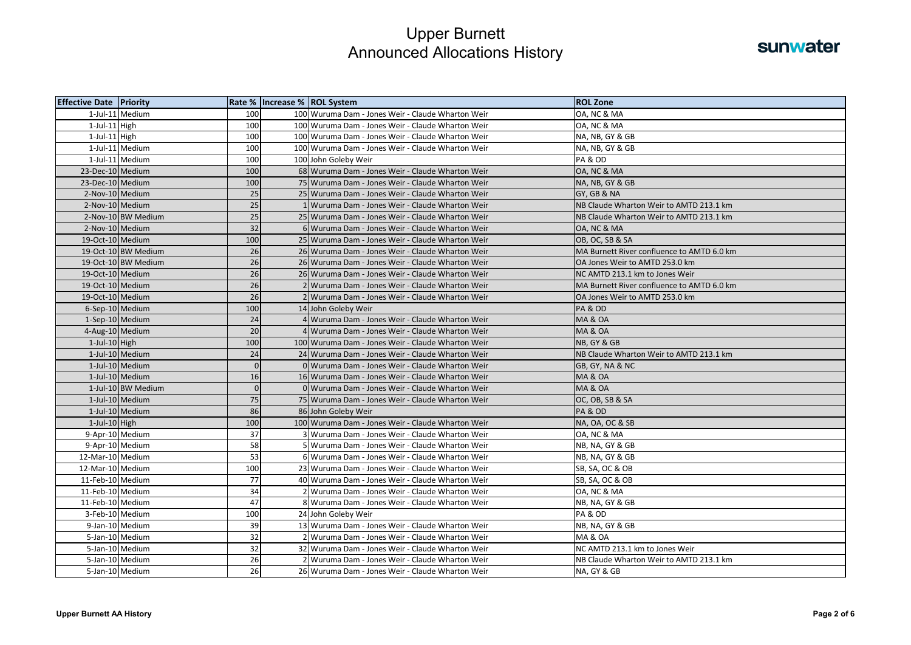| <b>Effective Date Priority</b> |                     |                | Rate % Increase % ROL System                      | <b>ROL Zone</b>                            |
|--------------------------------|---------------------|----------------|---------------------------------------------------|--------------------------------------------|
|                                | 1-Jul-11 Medium     | 100            | 100 Wuruma Dam - Jones Weir - Claude Wharton Weir | OA, NC & MA                                |
| 1-Jul-11 High                  |                     | 100            | 100 Wuruma Dam - Jones Weir - Claude Wharton Weir | OA, NC & MA                                |
| $1$ -Jul-11 High               |                     | 100            | 100 Wuruma Dam - Jones Weir - Claude Wharton Weir | NA, NB, GY & GB                            |
|                                | 1-Jul-11 Medium     | 100            | 100 Wuruma Dam - Jones Weir - Claude Wharton Weir | NA, NB, GY & GB                            |
|                                | 1-Jul-11 Medium     | 100            | 100 John Goleby Weir                              | PA & OD                                    |
| 23-Dec-10 Medium               |                     | 100            | 68 Wuruma Dam - Jones Weir - Claude Wharton Weir  | OA, NC & MA                                |
| 23-Dec-10 Medium               |                     | 100            | 75 Wuruma Dam - Jones Weir - Claude Wharton Weir  | NA, NB, GY & GB                            |
| 2-Nov-10 Medium                |                     | 25             | 25 Wuruma Dam - Jones Weir - Claude Wharton Weir  | GY, GB & NA                                |
| 2-Nov-10 Medium                |                     | 25             | 1 Wuruma Dam - Jones Weir - Claude Wharton Weir   | NB Claude Wharton Weir to AMTD 213.1 km    |
|                                | 2-Nov-10 BW Medium  | 25             | 25 Wuruma Dam - Jones Weir - Claude Wharton Weir  | NB Claude Wharton Weir to AMTD 213.1 km    |
| 2-Nov-10 Medium                |                     | 32             | 6 Wuruma Dam - Jones Weir - Claude Wharton Weir   | OA, NC & MA                                |
| 19-Oct-10 Medium               |                     | 100            | 25 Wuruma Dam - Jones Weir - Claude Wharton Weir  | OB, OC, SB & SA                            |
|                                | 19-Oct-10 BW Medium | 26             | 26 Wuruma Dam - Jones Weir - Claude Wharton Weir  | MA Burnett River confluence to AMTD 6.0 km |
|                                | 19-Oct-10 BW Medium | 26             | 26 Wuruma Dam - Jones Weir - Claude Wharton Weir  | OA Jones Weir to AMTD 253.0 km             |
| 19-Oct-10 Medium               |                     | 26             | 26 Wuruma Dam - Jones Weir - Claude Wharton Weir  | NC AMTD 213.1 km to Jones Weir             |
| 19-Oct-10 Medium               |                     | 26             | 2 Wuruma Dam - Jones Weir - Claude Wharton Weir   | MA Burnett River confluence to AMTD 6.0 km |
| 19-Oct-10 Medium               |                     | 26             | 2 Wuruma Dam - Jones Weir - Claude Wharton Weir   | OA Jones Weir to AMTD 253.0 km             |
|                                | 6-Sep-10 Medium     | 100            | 14 John Goleby Weir                               | PA&OD                                      |
| 1-Sep-10 Medium                |                     | 24             | 4 Wuruma Dam - Jones Weir - Claude Wharton Weir   | <b>MA &amp; OA</b>                         |
| 4-Aug-10 Medium                |                     | 20             | 4 Wuruma Dam - Jones Weir - Claude Wharton Weir   | <b>MA &amp; OA</b>                         |
| $1$ -Jul-10 High               |                     | 100            | 100 Wuruma Dam - Jones Weir - Claude Wharton Weir | NB. GY & GB                                |
|                                | 1-Jul-10 Medium     | 24             | 24 Wuruma Dam - Jones Weir - Claude Wharton Weir  | NB Claude Wharton Weir to AMTD 213.1 km    |
|                                | 1-Jul-10 Medium     | $\overline{0}$ | 0 Wuruma Dam - Jones Weir - Claude Wharton Weir   | GB, GY, NA & NC                            |
|                                | 1-Jul-10 Medium     | 16             | 16 Wuruma Dam - Jones Weir - Claude Wharton Weir  | <b>MA &amp; OA</b>                         |
|                                | 1-Jul-10 BW Medium  | $\overline{0}$ | 0 Wuruma Dam - Jones Weir - Claude Wharton Weir   | <b>MA &amp; OA</b>                         |
|                                | 1-Jul-10 Medium     | 75             | 75 Wuruma Dam - Jones Weir - Claude Wharton Weir  | OC, OB, SB & SA                            |
|                                | 1-Jul-10 Medium     | 86             | 86 John Goleby Weir                               | PA & OD                                    |
| $1$ -Jul-10 High               |                     | 100            | 100 Wuruma Dam - Jones Weir - Claude Wharton Weir | NA, OA, OC & SB                            |
|                                | 9-Apr-10 Medium     | 37             | 3 Wuruma Dam - Jones Weir - Claude Wharton Weir   | OA, NC & MA                                |
|                                | 9-Apr-10 Medium     | 58             | 5 Wuruma Dam - Jones Weir - Claude Wharton Weir   | NB, NA, GY & GB                            |
| 12-Mar-10 Medium               |                     | 53             | 6 Wuruma Dam - Jones Weir - Claude Wharton Weir   | NB, NA, GY & GB                            |
| 12-Mar-10 Medium               |                     | 100            | 23 Wuruma Dam - Jones Weir - Claude Wharton Weir  | SB, SA, OC & OB                            |
| 11-Feb-10 Medium               |                     | 77             | 40 Wuruma Dam - Jones Weir - Claude Wharton Weir  | SB, SA, OC & OB                            |
| 11-Feb-10 Medium               |                     | 34             | 2 Wuruma Dam - Jones Weir - Claude Wharton Weir   | OA, NC & MA                                |
| 11-Feb-10 Medium               |                     | 47             | 8 Wuruma Dam - Jones Weir - Claude Wharton Weir   | NB, NA, GY & GB                            |
|                                | 3-Feb-10 Medium     | 100            | 24 John Goleby Weir                               | PA & OD                                    |
|                                | 9-Jan-10 Medium     | 39             | 13 Wuruma Dam - Jones Weir - Claude Wharton Weir  | NB, NA, GY & GB                            |
|                                | 5-Jan-10 Medium     | 32             | 2 Wuruma Dam - Jones Weir - Claude Wharton Weir   | MA & OA                                    |
|                                | 5-Jan-10 Medium     | 32             | 32 Wuruma Dam - Jones Weir - Claude Wharton Weir  | NC AMTD 213.1 km to Jones Weir             |
|                                | 5-Jan-10 Medium     | 26             | 2 Wuruma Dam - Jones Weir - Claude Wharton Weir   | NB Claude Wharton Weir to AMTD 213.1 km    |
|                                | 5-Jan-10 Medium     | 26             | 26 Wuruma Dam - Jones Weir - Claude Wharton Weir  | NA, GY & GB                                |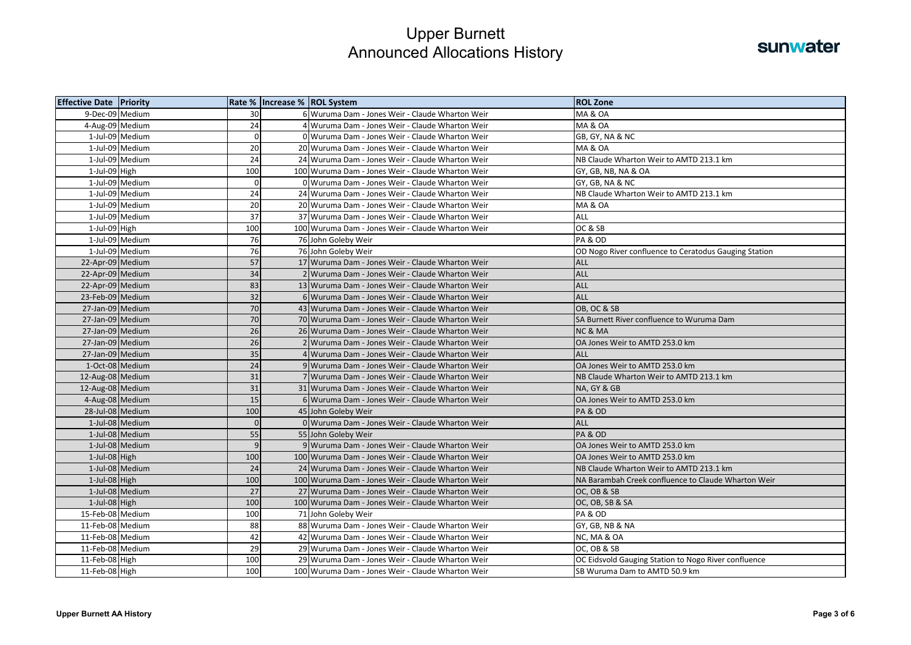| <b>Effective Date Priority</b> |                | Rate %   Increase %   ROL System                  | <b>ROL Zone</b>                                       |
|--------------------------------|----------------|---------------------------------------------------|-------------------------------------------------------|
| 9-Dec-09 Medium                | 30             | 6 Wuruma Dam - Jones Weir - Claude Wharton Weir   | <b>MA &amp; OA</b>                                    |
| 4-Aug-09 Medium                | 24             | 4 Wuruma Dam - Jones Weir - Claude Wharton Weir   | <b>MA &amp; OA</b>                                    |
| 1-Jul-09 Medium                | $\mathbf 0$    | 0 Wuruma Dam - Jones Weir - Claude Wharton Weir   | GB, GY, NA & NC                                       |
| 1-Jul-09 Medium                | 20             | 20 Wuruma Dam - Jones Weir - Claude Wharton Weir  | <b>MA &amp; OA</b>                                    |
| 1-Jul-09 Medium                | 24             | 24 Wuruma Dam - Jones Weir - Claude Wharton Weir  | NB Claude Wharton Weir to AMTD 213.1 km               |
| 1-Jul-09 High                  | 100            | 100 Wuruma Dam - Jones Weir - Claude Wharton Weir | GY, GB, NB, NA & OA                                   |
| 1-Jul-09 Medium                | $\mathbf 0$    | 0 Wuruma Dam - Jones Weir - Claude Wharton Weir   | GY, GB, NA & NC                                       |
| 1-Jul-09 Medium                | 24             | 24 Wuruma Dam - Jones Weir - Claude Wharton Weir  | NB Claude Wharton Weir to AMTD 213.1 km               |
| 1-Jul-09 Medium                | 20             | 20 Wuruma Dam - Jones Weir - Claude Wharton Weir  | MA & OA                                               |
| 1-Jul-09 Medium                | 37             | 37 Wuruma Dam - Jones Weir - Claude Wharton Weir  | ALL                                                   |
| 1-Jul-09 High                  | 100            | 100 Wuruma Dam - Jones Weir - Claude Wharton Weir | OC&SB                                                 |
| 1-Jul-09 Medium                | 76             | 76 John Goleby Weir                               | PA&OD                                                 |
| 1-Jul-09 Medium                | 76             | 76 John Goleby Weir                               | OD Nogo River confluence to Ceratodus Gauging Station |
| 22-Apr-09 Medium               | 57             | 17 Wuruma Dam - Jones Weir - Claude Wharton Weir  | <b>ALL</b>                                            |
| 22-Apr-09 Medium               | 34             | 2 Wuruma Dam - Jones Weir - Claude Wharton Weir   | <b>ALL</b>                                            |
| 22-Apr-09 Medium               | 83             | 13 Wuruma Dam - Jones Weir - Claude Wharton Weir  | <b>ALL</b>                                            |
| 23-Feb-09 Medium               | 32             | 6 Wuruma Dam - Jones Weir - Claude Wharton Weir   | <b>ALL</b>                                            |
| 27-Jan-09 Medium               | 70             | 43 Wuruma Dam - Jones Weir - Claude Wharton Weir  | OB. OC & SB                                           |
| 27-Jan-09 Medium               | 70             | 70 Wuruma Dam - Jones Weir - Claude Wharton Weir  | SA Burnett River confluence to Wuruma Dam             |
| 27-Jan-09 Medium               | 26             | 26 Wuruma Dam - Jones Weir - Claude Wharton Weir  | NC & MA                                               |
| 27-Jan-09 Medium               | 26             | 2 Wuruma Dam - Jones Weir - Claude Wharton Weir   | OA Jones Weir to AMTD 253.0 km                        |
| 27-Jan-09 Medium               | 35             | 4 Wuruma Dam - Jones Weir - Claude Wharton Weir   | <b>ALL</b>                                            |
| 1-Oct-08 Medium                | 24             | 9 Wuruma Dam - Jones Weir - Claude Wharton Weir   | OA Jones Weir to AMTD 253.0 km                        |
| 12-Aug-08 Medium               | 31             | 7 Wuruma Dam - Jones Weir - Claude Wharton Weir   | NB Claude Wharton Weir to AMTD 213.1 km               |
| 12-Aug-08 Medium               | 31             | 31 Wuruma Dam - Jones Weir - Claude Wharton Weir  | NA. GY & GB                                           |
| 4-Aug-08 Medium                | 15             | 6 Wuruma Dam - Jones Weir - Claude Wharton Weir   | OA Jones Weir to AMTD 253.0 km                        |
| 28-Jul-08 Medium               | 100            | 45 John Goleby Weir                               | PA&OD                                                 |
| 1-Jul-08 Medium                | $\Omega$       | 0 Wuruma Dam - Jones Weir - Claude Wharton Weir   | ALL                                                   |
| 1-Jul-08 Medium                | 55             | 55 John Goleby Weir                               | PA&OD                                                 |
| 1-Jul-08 Medium                | $\overline{9}$ | 9 Wuruma Dam - Jones Weir - Claude Wharton Weir   | OA Jones Weir to AMTD 253.0 km                        |
| $1$ -Jul-08 High               | 100            | 100 Wuruma Dam - Jones Weir - Claude Wharton Weir | OA Jones Weir to AMTD 253.0 km                        |
| 1-Jul-08 Medium                | 24             | 24 Wuruma Dam - Jones Weir - Claude Wharton Weir  | NB Claude Wharton Weir to AMTD 213.1 km               |
| $1$ -Jul-08 High               | 100            | 100 Wuruma Dam - Jones Weir - Claude Wharton Weir | NA Barambah Creek confluence to Claude Wharton Weir   |
| 1-Jul-08 Medium                | 27             | 27 Wuruma Dam - Jones Weir - Claude Wharton Weir  | OC, OB & SB                                           |
| $1$ -Jul-08 High               | 100            | 100 Wuruma Dam - Jones Weir - Claude Wharton Weir | OC, OB, SB & SA                                       |
| 15-Feb-08 Medium               | 100            | 71 John Goleby Weir                               | PA & OD                                               |
| 11-Feb-08 Medium               | 88             | 88 Wuruma Dam - Jones Weir - Claude Wharton Weir  | GY, GB, NB & NA                                       |
| 11-Feb-08 Medium               | 42             | 42 Wuruma Dam - Jones Weir - Claude Wharton Weir  | NC, MA & OA                                           |
| 11-Feb-08 Medium               | 29             | 29 Wuruma Dam - Jones Weir - Claude Wharton Weir  | OC, OB & SB                                           |
| 11-Feb-08 High                 | 100            | 29 Wuruma Dam - Jones Weir - Claude Wharton Weir  | OC Eidsvold Gauging Station to Nogo River confluence  |
| 11-Feb-08 High                 | 100            | 100 Wuruma Dam - Jones Weir - Claude Wharton Weir | SB Wuruma Dam to AMTD 50.9 km                         |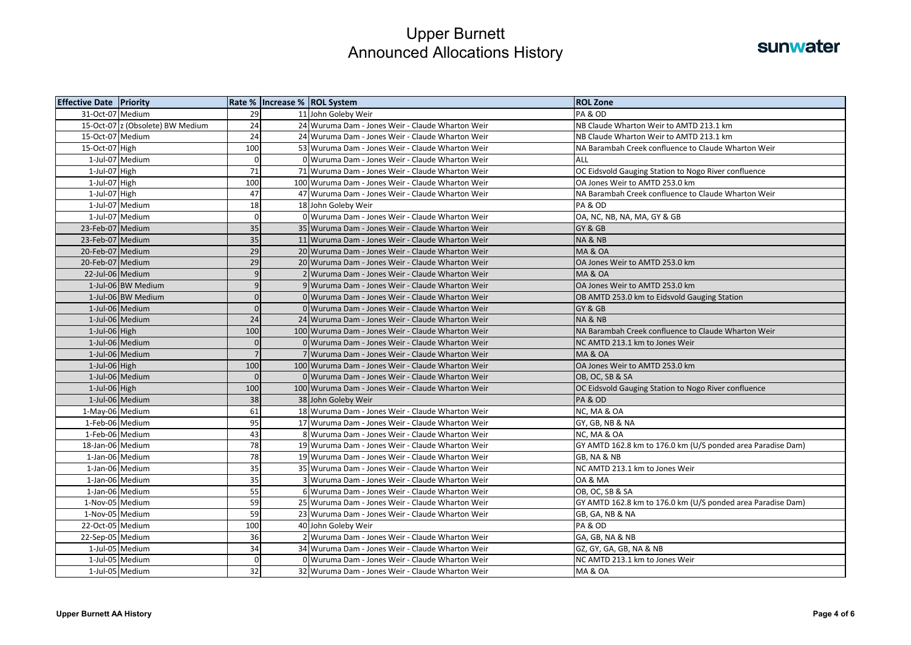| <b>Effective Date Priority</b> |                                  |                | Rate % Increase % ROL System                      | <b>ROL Zone</b>                                             |
|--------------------------------|----------------------------------|----------------|---------------------------------------------------|-------------------------------------------------------------|
| 31-Oct-07 Medium               |                                  | 29             | 11 John Goleby Weir                               | PA&OD                                                       |
|                                | 15-Oct-07 z (Obsolete) BW Medium | 24             | 24 Wuruma Dam - Jones Weir - Claude Wharton Weir  | NB Claude Wharton Weir to AMTD 213.1 km                     |
| 15-Oct-07 Medium               |                                  | 24             | 24 Wuruma Dam - Jones Weir - Claude Wharton Weir  | NB Claude Wharton Weir to AMTD 213.1 km                     |
| 15-Oct-07 High                 |                                  | 100            | 53 Wuruma Dam - Jones Weir - Claude Wharton Weir  | NA Barambah Creek confluence to Claude Wharton Weir         |
|                                | 1-Jul-07 Medium                  | $\mathbf 0$    | 0 Wuruma Dam - Jones Weir - Claude Wharton Weir   | <b>ALL</b>                                                  |
| $1$ -Jul-07 High               |                                  | 71             | 71 Wuruma Dam - Jones Weir - Claude Wharton Weir  | OC Eidsvold Gauging Station to Nogo River confluence        |
| 1-Jul-07 High                  |                                  | 100            | 100 Wuruma Dam - Jones Weir - Claude Wharton Weir | OA Jones Weir to AMTD 253.0 km                              |
| 1-Jul-07 High                  |                                  | 47             | 47 Wuruma Dam - Jones Weir - Claude Wharton Weir  | NA Barambah Creek confluence to Claude Wharton Weir         |
|                                | 1-Jul-07 Medium                  | 18             | 18 John Goleby Weir                               | PA & OD                                                     |
|                                | 1-Jul-07 Medium                  | $\mathsf 0$    | 0 Wuruma Dam - Jones Weir - Claude Wharton Weir   | OA, NC, NB, NA, MA, GY & GB                                 |
| 23-Feb-07 Medium               |                                  | 35             | 35 Wuruma Dam - Jones Weir - Claude Wharton Weir  | GY & GB                                                     |
| 23-Feb-07 Medium               |                                  | 35             | 11 Wuruma Dam - Jones Weir - Claude Wharton Weir  | NA&NB                                                       |
| 20-Feb-07 Medium               |                                  | 29             | 20 Wuruma Dam - Jones Weir - Claude Wharton Weir  | <b>MA &amp; OA</b>                                          |
| 20-Feb-07 Medium               |                                  | 29             | 20 Wuruma Dam - Jones Weir - Claude Wharton Weir  | OA Jones Weir to AMTD 253.0 km                              |
| 22-Jul-06 Medium               |                                  | $\mathsf{q}$   | 2 Wuruma Dam - Jones Weir - Claude Wharton Weir   | <b>MA &amp; OA</b>                                          |
|                                | 1-Jul-06 BW Medium               | 9              | 9 Wuruma Dam - Jones Weir - Claude Wharton Weir   | OA Jones Weir to AMTD 253.0 km                              |
|                                | 1-Jul-06 BW Medium               | $\mathbf 0$    | 0 Wuruma Dam - Jones Weir - Claude Wharton Weir   | OB AMTD 253.0 km to Eidsvold Gauging Station                |
|                                | 1-Jul-06 Medium                  | $\mathbf{0}$   | 0 Wuruma Dam - Jones Weir - Claude Wharton Weir   | GY & GB                                                     |
|                                | 1-Jul-06 Medium                  | 24             | 24 Wuruma Dam - Jones Weir - Claude Wharton Weir  | <b>NA &amp; NB</b>                                          |
| $1$ -Jul-06 High               |                                  | 100            | 100 Wuruma Dam - Jones Weir - Claude Wharton Weir | NA Barambah Creek confluence to Claude Wharton Weir         |
|                                | 1-Jul-06 Medium                  | $\mathbf 0$    | 0 Wuruma Dam - Jones Weir - Claude Wharton Weir   | NC AMTD 213.1 km to Jones Weir                              |
|                                | 1-Jul-06 Medium                  | $\overline{7}$ | 7 Wuruma Dam - Jones Weir - Claude Wharton Weir   | MA & OA                                                     |
| $1$ -Jul-06 High               |                                  | 100            | 100 Wuruma Dam - Jones Weir - Claude Wharton Weir | OA Jones Weir to AMTD 253.0 km                              |
|                                | 1-Jul-06 Medium                  | $\Omega$       | OlWuruma Dam - Jones Weir - Claude Wharton Weir   | OB, OC, SB & SA                                             |
| $1$ -Jul-06 High               |                                  | 100            | 100 Wuruma Dam - Jones Weir - Claude Wharton Weir | OC Eidsvold Gauging Station to Nogo River confluence        |
|                                | 1-Jul-06 Medium                  | 38             | 38 John Goleby Weir                               | PA&OD                                                       |
| 1-May-06 Medium                |                                  | 61             | 18 Wuruma Dam - Jones Weir - Claude Wharton Weir  | NC, MA & OA                                                 |
| 1-Feb-06 Medium                |                                  | 95             | 17 Wuruma Dam - Jones Weir - Claude Wharton Weir  | GY, GB, NB & NA                                             |
| 1-Feb-06 Medium                |                                  | 43             | 8 Wuruma Dam - Jones Weir - Claude Wharton Weir   | NC, MA & OA                                                 |
| 18-Jan-06 Medium               |                                  | 78             | 19 Wuruma Dam - Jones Weir - Claude Wharton Weir  | GY AMTD 162.8 km to 176.0 km (U/S ponded area Paradise Dam) |
|                                | 1-Jan-06 Medium                  | 78             | 19 Wuruma Dam - Jones Weir - Claude Wharton Weir  | GB, NA & NB                                                 |
|                                | 1-Jan-06 Medium                  | 35             | 35 Wuruma Dam - Jones Weir - Claude Wharton Weir  | NC AMTD 213.1 km to Jones Weir                              |
|                                | 1-Jan-06 Medium                  | 35             | 3 Wuruma Dam - Jones Weir - Claude Wharton Weir   | OA & MA                                                     |
|                                | 1-Jan-06 Medium                  | 55             | 6 Wuruma Dam - Jones Weir - Claude Wharton Weir   | OB, OC, SB & SA                                             |
| 1-Nov-05 Medium                |                                  | 59             | 25 Wuruma Dam - Jones Weir - Claude Wharton Weir  | GY AMTD 162.8 km to 176.0 km (U/S ponded area Paradise Dam) |
| 1-Nov-05 Medium                |                                  | 59             | 23 Wuruma Dam - Jones Weir - Claude Wharton Weir  | GB, GA, NB & NA                                             |
| 22-Oct-05 Medium               |                                  | 100            | 40 John Goleby Weir                               | PA&OD                                                       |
| 22-Sep-05 Medium               |                                  | 36             | 2 Wuruma Dam - Jones Weir - Claude Wharton Weir   | GA, GB, NA & NB                                             |
|                                | 1-Jul-05 Medium                  | 34             | 34 Wuruma Dam - Jones Weir - Claude Wharton Weir  | GZ, GY, GA, GB, NA & NB                                     |
|                                | 1-Jul-05 Medium                  | $\mathbf 0$    | 0 Wuruma Dam - Jones Weir - Claude Wharton Weir   | NC AMTD 213.1 km to Jones Weir                              |
|                                | 1-Jul-05 Medium                  | 32             | 32 Wuruma Dam - Jones Weir - Claude Wharton Weir  | <b>MA &amp; OA</b>                                          |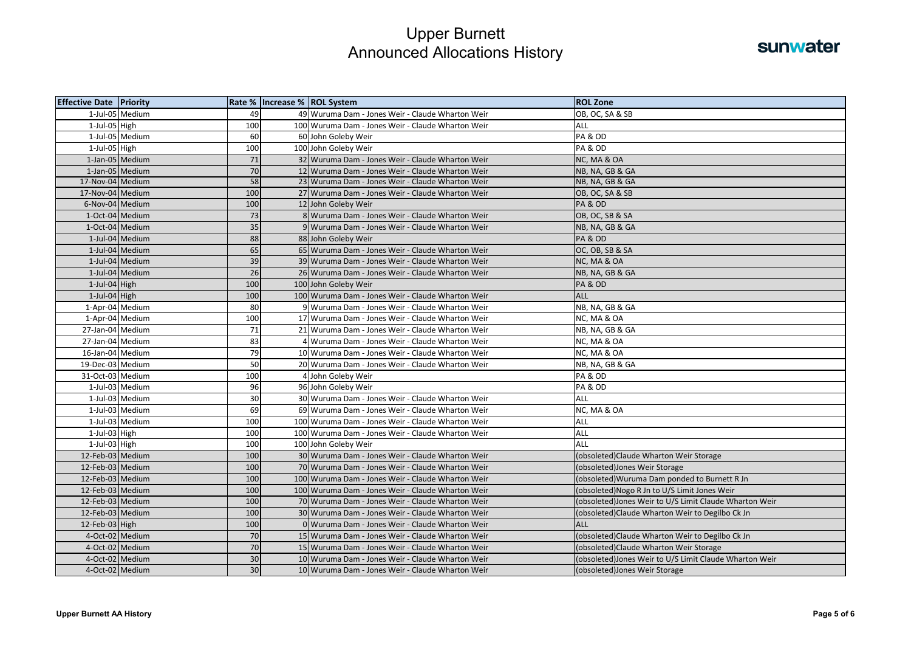| <b>Effective Date Priority</b> |                 |     | Rate %   Increase %   ROL System                  | <b>ROL Zone</b>                                        |
|--------------------------------|-----------------|-----|---------------------------------------------------|--------------------------------------------------------|
|                                | 1-Jul-05 Medium | 49  | 49 Wuruma Dam - Jones Weir - Claude Wharton Weir  | OB, OC, SA & SB                                        |
| 1-Jul-05 High                  |                 | 100 | 100 Wuruma Dam - Jones Weir - Claude Wharton Weir | ALL                                                    |
|                                | 1-Jul-05 Medium | 60  | 60 John Goleby Weir                               | PA&OD                                                  |
| 1-Jul-05 High                  |                 | 100 | 100 John Goleby Weir                              | PA&OD                                                  |
| 1-Jan-05 Medium                |                 | 71  | 32 Wuruma Dam - Jones Weir - Claude Wharton Weir  | NC, MA & OA                                            |
| 1-Jan-05 Medium                |                 | 70  | 12 Wuruma Dam - Jones Weir - Claude Wharton Weir  | NB, NA, GB & GA                                        |
| 17-Nov-04 Medium               |                 | 58  | 23 Wuruma Dam - Jones Weir - Claude Wharton Weir  | NB, NA, GB & GA                                        |
| 17-Nov-04 Medium               |                 | 100 | 27 Wuruma Dam - Jones Weir - Claude Wharton Weir  | OB, OC, SA & SB                                        |
| 6-Nov-04 Medium                |                 | 100 | 12 John Goleby Weir                               | PA&OD                                                  |
| 1-Oct-04 Medium                |                 | 73  | 8 Wuruma Dam - Jones Weir - Claude Wharton Weir   | OB, OC, SB & SA                                        |
| 1-Oct-04 Medium                |                 | 35  | 9 Wuruma Dam - Jones Weir - Claude Wharton Weir   | NB, NA, GB & GA                                        |
|                                | 1-Jul-04 Medium | 88  | 88 John Goleby Weir                               | PA&OD                                                  |
|                                | 1-Jul-04 Medium | 65  | 65 Wuruma Dam - Jones Weir - Claude Wharton Weir  | OC, OB, SB & SA                                        |
|                                | 1-Jul-04 Medium | 39  | 39 Wuruma Dam - Jones Weir - Claude Wharton Weir  | NC, MA & OA                                            |
|                                | 1-Jul-04 Medium | 26  | 26 Wuruma Dam - Jones Weir - Claude Wharton Weir  | NB, NA, GB & GA                                        |
| $1$ -Jul-04 High               |                 | 100 | 100 John Goleby Weir                              | PA&OD                                                  |
| $1$ -Jul-04 High               |                 | 100 | 100 Wuruma Dam - Jones Weir - Claude Wharton Weir | <b>ALL</b>                                             |
| 1-Apr-04 Medium                |                 | 80  | 9 Wuruma Dam - Jones Weir - Claude Wharton Weir   | NB, NA, GB & GA                                        |
| 1-Apr-04 Medium                |                 | 100 | 17 Wuruma Dam - Jones Weir - Claude Wharton Weir  | NC, MA & OA                                            |
| 27-Jan-04 Medium               |                 | 71  | 21 Wuruma Dam - Jones Weir - Claude Wharton Weir  | NB, NA, GB & GA                                        |
| 27-Jan-04 Medium               |                 | 83  | Wuruma Dam - Jones Weir - Claude Wharton Weir     | NC, MA & OA                                            |
| 16-Jan-04 Medium               |                 | 79  | 10 Wuruma Dam - Jones Weir - Claude Wharton Weir  | NC, MA & OA                                            |
| 19-Dec-03 Medium               |                 | 50  | 20 Wuruma Dam - Jones Weir - Claude Wharton Weir  | NB, NA, GB & GA                                        |
| 31-Oct-03 Medium               |                 | 100 | 4 John Goleby Weir                                | PA&OD                                                  |
|                                | 1-Jul-03 Medium | 96  | 96 John Goleby Weir                               | PA&OD                                                  |
|                                | 1-Jul-03 Medium | 30  | 30 Wuruma Dam - Jones Weir - Claude Wharton Weir  | <b>ALL</b>                                             |
|                                | 1-Jul-03 Medium | 69  | 69 Wuruma Dam - Jones Weir - Claude Wharton Weir  | NC, MA & OA                                            |
|                                | 1-Jul-03 Medium | 100 | 100 Wuruma Dam - Jones Weir - Claude Wharton Weir | ALL                                                    |
| $1$ -Jul-03 High               |                 | 100 | 100 Wuruma Dam - Jones Weir - Claude Wharton Weir | <b>ALL</b>                                             |
| $1$ -Jul-03 High               |                 | 100 | 100 John Goleby Weir                              | ALL                                                    |
| 12-Feb-03 Medium               |                 | 100 | 30 Wuruma Dam - Jones Weir - Claude Wharton Weir  | (obsoleted)Claude Wharton Weir Storage                 |
| 12-Feb-03 Medium               |                 | 100 | 70 Wuruma Dam - Jones Weir - Claude Wharton Weir  | (obsoleted) Jones Weir Storage                         |
| 12-Feb-03 Medium               |                 | 100 | 100 Wuruma Dam - Jones Weir - Claude Wharton Weir | (obsoleted) Wuruma Dam ponded to Burnett R Jn          |
| 12-Feb-03 Medium               |                 | 100 | 100 Wuruma Dam - Jones Weir - Claude Wharton Weir | (obsoleted) Nogo R Jn to U/S Limit Jones Weir          |
| 12-Feb-03 Medium               |                 | 100 | 70 Wuruma Dam - Jones Weir - Claude Wharton Weir  | (obsoleted)Jones Weir to U/S Limit Claude Wharton Weir |
| 12-Feb-03 Medium               |                 | 100 | 30 Wuruma Dam - Jones Weir - Claude Wharton Weir  | (obsoleted)Claude Wharton Weir to Degilbo Ck Jn        |
| 12-Feb-03 High                 |                 | 100 | 0 Wuruma Dam - Jones Weir - Claude Wharton Weir   | <b>ALL</b>                                             |
| 4-Oct-02 Medium                |                 | 70  | 15 Wuruma Dam - Jones Weir - Claude Wharton Weir  | (obsoleted)Claude Wharton Weir to Degilbo Ck Jn        |
|                                | 4-Oct-02 Medium | 70  | 15 Wuruma Dam - Jones Weir - Claude Wharton Weir  | obsoleted)Claude Wharton Weir Storage                  |
| 4-Oct-02 Medium                |                 | 30  | 10 Wuruma Dam - Jones Weir - Claude Wharton Weir  | (obsoleted)Jones Weir to U/S Limit Claude Wharton Weir |
| 4-Oct-02 Medium                |                 | 30  | 10 Wuruma Dam - Jones Weir - Claude Wharton Weir  | (obsoleted) Jones Weir Storage                         |